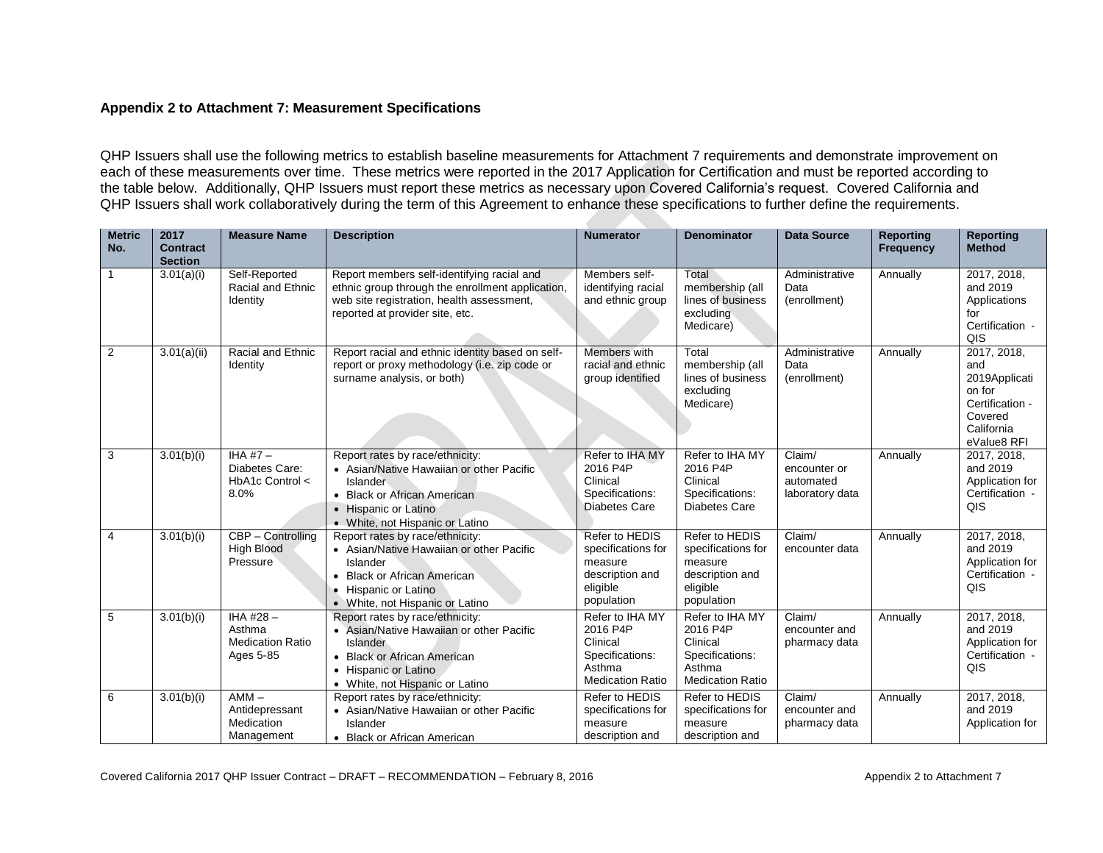## **Appendix 2 to Attachment 7: Measurement Specifications**

QHP Issuers shall use the following metrics to establish baseline measurements for Attachment 7 requirements and demonstrate improvement on each of these measurements over time. These metrics were reported in the 2017 Application for Certification and must be reported according to the table below. Additionally, QHP Issuers must report these metrics as necessary upon Covered California's request. Covered California and QHP Issuers shall work collaboratively during the term of this Agreement to enhance these specifications to further define the requirements.

| <b>Metric</b><br>No. | 2017<br><b>Contract</b><br><b>Section</b> | <b>Measure Name</b>                                           | <b>Description</b>                                                                                                                                                                     | <b>Numerator</b>                                                                                | <b>Denominator</b>                                                                              | <b>Data Source</b>                                     | <b>Reporting</b><br><b>Frequency</b> | <b>Reporting</b><br><b>Method</b>                                                                        |
|----------------------|-------------------------------------------|---------------------------------------------------------------|----------------------------------------------------------------------------------------------------------------------------------------------------------------------------------------|-------------------------------------------------------------------------------------------------|-------------------------------------------------------------------------------------------------|--------------------------------------------------------|--------------------------------------|----------------------------------------------------------------------------------------------------------|
| 1                    | 3.01(a)(i)                                | Self-Reported<br>Racial and Ethnic<br>Identity                | Report members self-identifying racial and<br>ethnic group through the enrollment application,<br>web site registration, health assessment,<br>reported at provider site, etc.         | Members self-<br>identifying racial<br>and ethnic group                                         | Total<br>membership (all<br>lines of business<br>excluding<br>Medicare)                         | Administrative<br>Data<br>(enrollment)                 | Annually                             | 2017, 2018,<br>and 2019<br>Applications<br>for<br>Certification -<br>QIS                                 |
| $\overline{2}$       | 3.01(a)(ii)                               | Racial and Ethnic<br>Identity                                 | Report racial and ethnic identity based on self-<br>report or proxy methodology (i.e. zip code or<br>surname analysis, or both)                                                        | Members with<br>racial and ethnic<br>group identified                                           | Total<br>membership (all<br>lines of business<br>excluding<br>Medicare)                         | Administrative<br>Data<br>(enrollment)                 | Annually                             | 2017, 2018,<br>and<br>2019Applicati<br>on for<br>Certification -<br>Covered<br>California<br>eValue8 RFI |
| 3                    | 3.01(b)(i)                                | IHA #7 $-$<br>Diabetes Care:<br>$HbA1c$ Control $\lt$<br>8.0% | Report rates by race/ethnicity:<br>• Asian/Native Hawaiian or other Pacific<br>Islander<br>• Black or African American<br>• Hispanic or Latino<br>• White, not Hispanic or Latino      | Refer to IHA MY<br>2016 P4P<br>Clinical<br>Specifications:<br>Diabetes Care                     | Refer to IHA MY<br>2016 P4P<br>Clinical<br>Specifications:<br>Diabetes Care                     | Claim/<br>encounter or<br>automated<br>laboratory data | Annually                             | 2017, 2018,<br>and 2019<br>Application for<br>Certification -<br>QIS                                     |
| $\overline{4}$       | 3.01(b)(i)                                | $CBP - Controlling$<br><b>High Blood</b><br>Pressure          | Report rates by race/ethnicity:<br>• Asian/Native Hawaiian or other Pacific<br>Islander<br><b>Black or African American</b><br>• Hispanic or Latino<br>• White, not Hispanic or Latino | Refer to HEDIS<br>specifications for<br>measure<br>description and<br>eligible<br>population    | Refer to HEDIS<br>specifications for<br>measure<br>description and<br>eligible<br>population    | Claim/<br>encounter data                               | Annually                             | 2017, 2018,<br>and 2019<br>Application for<br>Certification -<br>QIS                                     |
| 5                    | 3.01(b)(i)                                | IHA #28-<br>Asthma<br><b>Medication Ratio</b><br>Ages 5-85    | Report rates by race/ethnicity:<br>• Asian/Native Hawaiian or other Pacific<br>Islander<br>• Black or African American<br>• Hispanic or Latino<br>• White, not Hispanic or Latino      | Refer to IHA MY<br>2016 P4P<br>Clinical<br>Specifications:<br>Asthma<br><b>Medication Ratio</b> | Refer to IHA MY<br>2016 P4P<br>Clinical<br>Specifications:<br>Asthma<br><b>Medication Ratio</b> | Claim/<br>encounter and<br>pharmacy data               | Annually                             | 2017, 2018,<br>and 2019<br>Application for<br>Certification -<br>QIS                                     |
| 6                    | 3.01(b)(i)                                | $AMM -$<br>Antidepressant<br>Medication<br>Management         | Report rates by race/ethnicity:<br>• Asian/Native Hawaiian or other Pacific<br>Islander<br>• Black or African American                                                                 | Refer to HEDIS<br>specifications for<br>measure<br>description and                              | Refer to HEDIS<br>specifications for<br>measure<br>description and                              | Claim/<br>encounter and<br>pharmacy data               | Annually                             | 2017, 2018,<br>and 2019<br>Application for                                                               |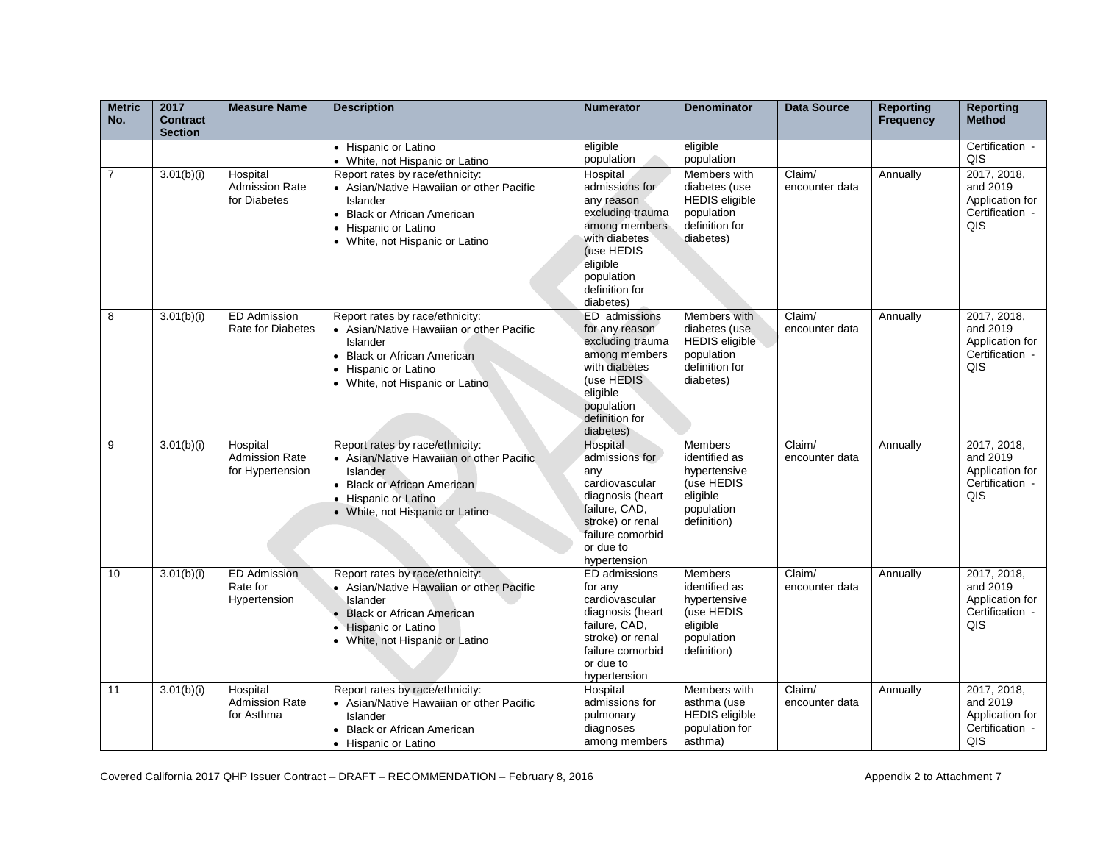| <b>Metric</b><br>No. | 2017<br><b>Contract</b><br><b>Section</b> | <b>Measure Name</b>                                   | <b>Description</b>                                                                                                                                                                     | <b>Numerator</b>                                                                                                                                                      | <b>Denominator</b>                                                                                     | <b>Data Source</b>       | <b>Reporting</b><br><b>Frequency</b> | <b>Reporting</b><br><b>Method</b>                                    |
|----------------------|-------------------------------------------|-------------------------------------------------------|----------------------------------------------------------------------------------------------------------------------------------------------------------------------------------------|-----------------------------------------------------------------------------------------------------------------------------------------------------------------------|--------------------------------------------------------------------------------------------------------|--------------------------|--------------------------------------|----------------------------------------------------------------------|
|                      |                                           |                                                       | • Hispanic or Latino<br>• White, not Hispanic or Latino                                                                                                                                | eligible<br>population                                                                                                                                                | eligible<br>population                                                                                 |                          |                                      | Certification -<br>QIS                                               |
| $\overline{7}$       | 3.01(b)(i)                                | Hospital<br><b>Admission Rate</b><br>for Diabetes     | Report rates by race/ethnicity:<br>• Asian/Native Hawaiian or other Pacific<br>Islander<br>• Black or African American<br>• Hispanic or Latino<br>• White, not Hispanic or Latino      | Hospital<br>admissions for<br>any reason<br>excluding trauma<br>among members<br>with diabetes<br>(use HEDIS<br>eligible<br>population<br>definition for<br>diabetes) | Members with<br>diabetes (use<br><b>HEDIS</b> eligible<br>population<br>definition for<br>diabetes)    | Claim/<br>encounter data | Annually                             | 2017, 2018,<br>and 2019<br>Application for<br>Certification -<br>QIS |
| 8                    | 3.01(b)(i)                                | <b>ED Admission</b><br><b>Rate for Diabetes</b>       | Report rates by race/ethnicity:<br>• Asian/Native Hawaiian or other Pacific<br>Islander<br>• Black or African American<br>Hispanic or Latino<br>• White, not Hispanic or Latino        | ED admissions<br>for any reason<br>excluding trauma<br>among members<br>with diabetes<br>(use HEDIS<br>eligible<br>population<br>definition for<br>diabetes)          | Members with<br>diabetes (use<br><b>HEDIS</b> eligible<br>population<br>definition for<br>diabetes)    | Claim/<br>encounter data | Annually                             | 2017, 2018,<br>and 2019<br>Application for<br>Certification -<br>QIS |
| 9                    | 3.01(b)(i)                                | Hospital<br><b>Admission Rate</b><br>for Hypertension | Report rates by race/ethnicity:<br>• Asian/Native Hawaiian or other Pacific<br>Islander<br>• Black or African American<br>• Hispanic or Latino<br>• White, not Hispanic or Latino      | Hospital<br>admissions for<br>any<br>cardiovascular<br>diagnosis (heart<br>failure, CAD,<br>stroke) or renal<br>failure comorbid<br>or due to<br>hypertension         | <b>Members</b><br>identified as<br>hypertensive<br>(use HEDIS<br>eligible<br>population<br>definition) | Claim/<br>encounter data | Annually                             | 2017, 2018,<br>and 2019<br>Application for<br>Certification -<br>QIS |
| 10                   | 3.01(b)(i)                                | <b>ED Admission</b><br>Rate for<br>Hypertension       | Report rates by race/ethnicity:<br>• Asian/Native Hawaiian or other Pacific<br>Islander<br><b>Black or African American</b><br>• Hispanic or Latino<br>• White, not Hispanic or Latino | ED admissions<br>for any<br>cardiovascular<br>diagnosis (heart<br>failure, CAD,<br>stroke) or renal<br>failure comorbid<br>or due to<br>hypertension                  | <b>Members</b><br>identified as<br>hypertensive<br>(use HEDIS<br>eligible<br>population<br>definition) | Claim/<br>encounter data | Annually                             | 2017, 2018,<br>and 2019<br>Application for<br>Certification -<br>QIS |
| 11                   | 3.01(b)(i)                                | Hospital<br><b>Admission Rate</b><br>for Asthma       | Report rates by race/ethnicity:<br>• Asian/Native Hawaiian or other Pacific<br>Islander<br>• Black or African American<br>• Hispanic or Latino                                         | Hospital<br>admissions for<br>pulmonary<br>diagnoses<br>among members                                                                                                 | Members with<br>asthma (use<br><b>HEDIS</b> eligible<br>population for<br>asthma)                      | Claim/<br>encounter data | Annually                             | 2017, 2018,<br>and 2019<br>Application for<br>Certification -<br>QIS |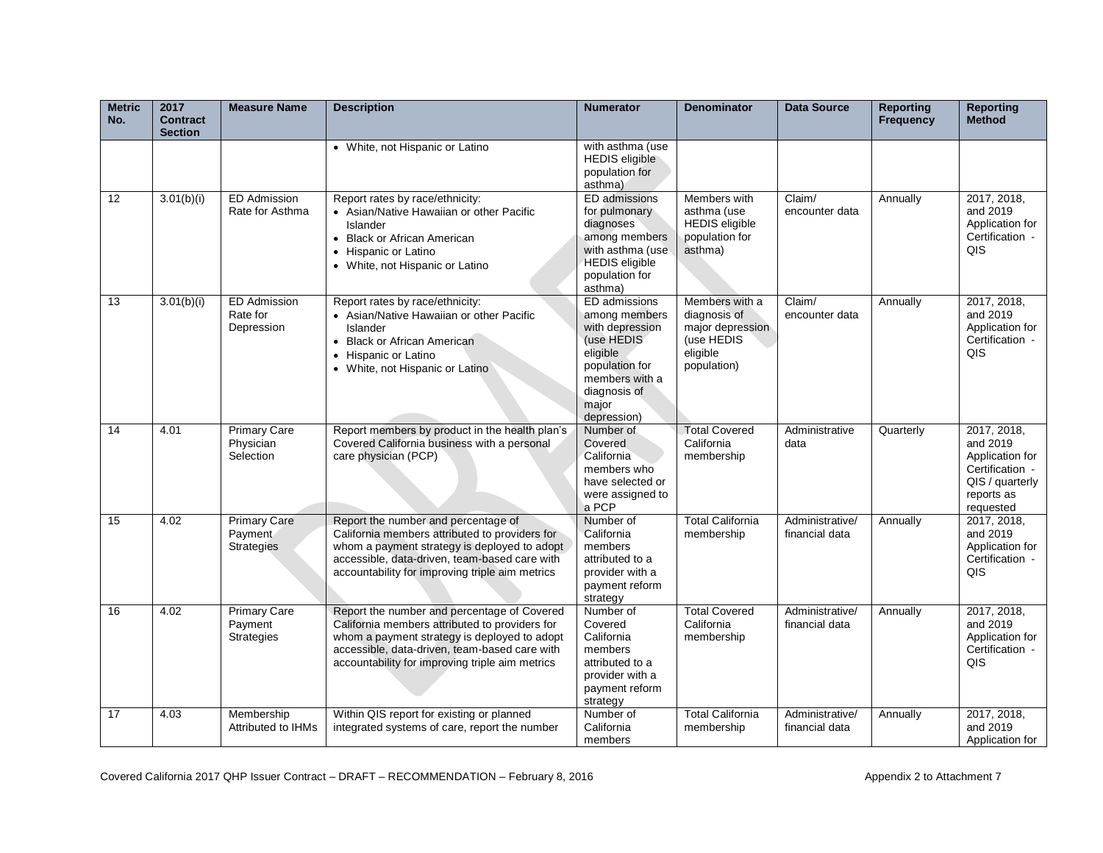| <b>Metric</b><br>No. | 2017<br><b>Contract</b><br><b>Section</b> | <b>Measure Name</b>                                 | <b>Description</b>                                                                                                                                                                                                                                | <b>Numerator</b>                                                                                                                                        | <b>Denominator</b>                                                                          | <b>Data Source</b>                | <b>Reporting</b><br><b>Frequency</b> | <b>Reporting</b><br><b>Method</b>                                                                           |
|----------------------|-------------------------------------------|-----------------------------------------------------|---------------------------------------------------------------------------------------------------------------------------------------------------------------------------------------------------------------------------------------------------|---------------------------------------------------------------------------------------------------------------------------------------------------------|---------------------------------------------------------------------------------------------|-----------------------------------|--------------------------------------|-------------------------------------------------------------------------------------------------------------|
|                      |                                           |                                                     | • White, not Hispanic or Latino                                                                                                                                                                                                                   | with asthma (use<br><b>HEDIS</b> eligible<br>population for<br>asthma)                                                                                  |                                                                                             |                                   |                                      |                                                                                                             |
| 12                   | 3.01(b)(i)                                | <b>ED Admission</b><br>Rate for Asthma              | Report rates by race/ethnicity:<br>• Asian/Native Hawaiian or other Pacific<br>Islander<br>• Black or African American<br>• Hispanic or Latino<br>• White, not Hispanic or Latino                                                                 | ED admissions<br>for pulmonary<br>diagnoses<br>among members<br>with asthma (use<br><b>HEDIS</b> eligible<br>population for<br>asthma)                  | Members with<br>asthma (use<br><b>HEDIS</b> eligible<br>population for<br>asthma)           | Claim/<br>encounter data          | Annually                             | 2017, 2018,<br>and 2019<br>Application for<br>Certification -<br>QIS                                        |
| 13                   | 3.01(b)(i)                                | <b>ED Admission</b><br>Rate for<br>Depression       | Report rates by race/ethnicity:<br>• Asian/Native Hawaiian or other Pacific<br>Islander<br><b>Black or African American</b><br>• Hispanic or Latino<br>• White, not Hispanic or Latino                                                            | ED admissions<br>among members<br>with depression<br>(use HEDIS<br>eligible<br>population for<br>members with a<br>diagnosis of<br>major<br>depression) | Members with a<br>diagnosis of<br>major depression<br>(use HEDIS<br>eligible<br>population) | Claim/<br>encounter data          | Annually                             | 2017, 2018,<br>and 2019<br>Application for<br>Certification -<br>QIS                                        |
| 14                   | 4.01                                      | <b>Primary Care</b><br>Physician<br>Selection       | Report members by product in the health plan's<br>Covered California business with a personal<br>care physician (PCP)                                                                                                                             | Number of<br>Covered<br>California<br>members who<br>have selected or<br>were assigned to<br>a PCP                                                      | <b>Total Covered</b><br>California<br>membership                                            | Administrative<br>data            | Quarterly                            | 2017, 2018,<br>and 2019<br>Application for<br>Certification -<br>QIS / quarterly<br>reports as<br>requested |
| 15                   | 4.02                                      | <b>Primary Care</b><br>Payment<br><b>Strategies</b> | Report the number and percentage of<br>California members attributed to providers for<br>whom a payment strategy is deployed to adopt<br>accessible, data-driven, team-based care with<br>accountability for improving triple aim metrics         | Number of<br>California<br>members<br>attributed to a<br>provider with a<br>payment reform<br>strategy                                                  | <b>Total California</b><br>membership                                                       | Administrative/<br>financial data | Annually                             | 2017, 2018,<br>and 2019<br>Application for<br>Certification -<br>QIS                                        |
| 16                   | 4.02                                      | <b>Primary Care</b><br>Payment<br><b>Strategies</b> | Report the number and percentage of Covered<br>California members attributed to providers for<br>whom a payment strategy is deployed to adopt<br>accessible, data-driven, team-based care with<br>accountability for improving triple aim metrics | Number of<br>Covered<br>California<br>members<br>attributed to a<br>provider with a<br>payment reform<br>strategy                                       | <b>Total Covered</b><br>California<br>membership                                            | Administrative/<br>financial data | Annually                             | 2017, 2018,<br>and 2019<br>Application for<br>Certification -<br><b>QIS</b>                                 |
| 17                   | 4.03                                      | Membership<br>Attributed to IHMs                    | Within QIS report for existing or planned<br>integrated systems of care, report the number                                                                                                                                                        | Number of<br>California<br>members                                                                                                                      | <b>Total California</b><br>membership                                                       | Administrative/<br>financial data | Annually                             | 2017, 2018,<br>and 2019<br>Application for                                                                  |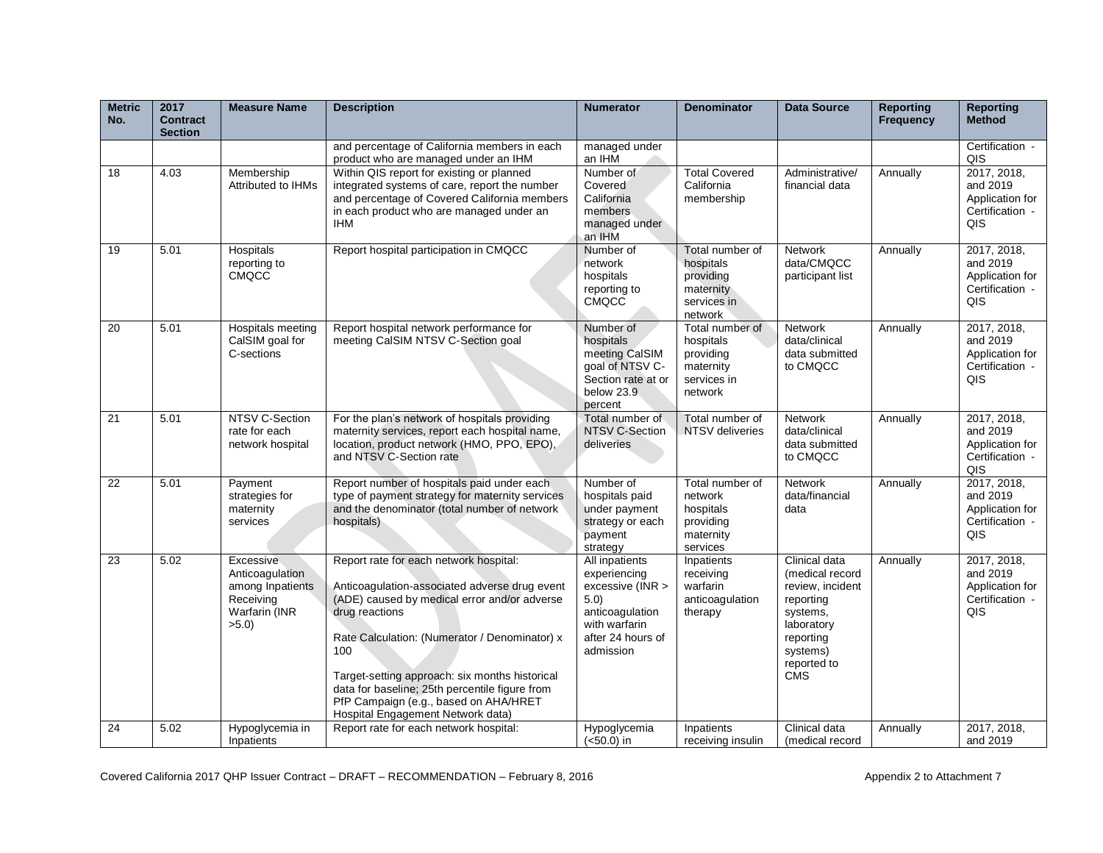| <b>Metric</b><br>No. | 2017<br><b>Contract</b><br><b>Section</b> | <b>Measure Name</b>                                                                    | <b>Description</b>                                                                                                                                                                                                                                                                                                                                                                                  | <b>Numerator</b>                                                                                                                 | <b>Denominator</b>                                                               | <b>Data Source</b>                                                                                                                                | <b>Reporting</b><br><b>Frequency</b> | <b>Reporting</b><br><b>Method</b>                                           |
|----------------------|-------------------------------------------|----------------------------------------------------------------------------------------|-----------------------------------------------------------------------------------------------------------------------------------------------------------------------------------------------------------------------------------------------------------------------------------------------------------------------------------------------------------------------------------------------------|----------------------------------------------------------------------------------------------------------------------------------|----------------------------------------------------------------------------------|---------------------------------------------------------------------------------------------------------------------------------------------------|--------------------------------------|-----------------------------------------------------------------------------|
|                      |                                           |                                                                                        | and percentage of California members in each<br>product who are managed under an IHM                                                                                                                                                                                                                                                                                                                | managed under<br>an IHM                                                                                                          |                                                                                  |                                                                                                                                                   |                                      | Certification -<br>QIS                                                      |
| 18                   | 4.03                                      | Membership<br>Attributed to IHMs                                                       | Within QIS report for existing or planned<br>integrated systems of care, report the number<br>and percentage of Covered California members<br>in each product who are managed under an<br><b>IHM</b>                                                                                                                                                                                                | Number of<br>Covered<br>California<br>members<br>managed under<br>an IHM                                                         | <b>Total Covered</b><br>California<br>membership                                 | Administrative/<br>financial data                                                                                                                 | Annually                             | 2017, 2018,<br>and 2019<br>Application for<br>Certification -<br>QIS        |
| 19                   | 5.01                                      | Hospitals<br>reporting to<br><b>CMQCC</b>                                              | Report hospital participation in CMQCC                                                                                                                                                                                                                                                                                                                                                              | Number of<br>network<br>hospitals<br>reporting to<br><b>CMQCC</b>                                                                | Total number of<br>hospitals<br>providing<br>maternity<br>services in<br>network | <b>Network</b><br>data/CMQCC<br>participant list                                                                                                  | Annually                             | 2017, 2018,<br>and 2019<br>Application for<br>Certification -<br>QIS        |
| 20                   | 5.01                                      | Hospitals meeting<br>CalSIM goal for<br>C-sections                                     | Report hospital network performance for<br>meeting CalSIM NTSV C-Section goal                                                                                                                                                                                                                                                                                                                       | Number of<br>hospitals<br>meeting CalSIM<br>goal of NTSV C-<br>Section rate at or<br>below 23.9<br>percent                       | Total number of<br>hospitals<br>providing<br>maternity<br>services in<br>network | <b>Network</b><br>data/clinical<br>data submitted<br>to CMQCC                                                                                     | Annually                             | 2017, 2018,<br>and 2019<br>Application for<br>Certification -<br>QIS        |
| 21                   | 5.01                                      | NTSV C-Section<br>rate for each<br>network hospital                                    | For the plan's network of hospitals providing<br>maternity services, report each hospital name,<br>location, product network (HMO, PPO, EPO),<br>and NTSV C-Section rate                                                                                                                                                                                                                            | Total number of<br><b>NTSV C-Section</b><br>deliveries                                                                           | Total number of<br>NTSV deliveries                                               | Network<br>data/clinical<br>data submitted<br>to CMQCC                                                                                            | Annually                             | 2017, 2018,<br>and 2019<br>Application for<br>Certification -<br><b>QIS</b> |
| 22                   | 5.01                                      | Payment<br>strategies for<br>maternity<br>services                                     | Report number of hospitals paid under each<br>type of payment strategy for maternity services<br>and the denominator (total number of network<br>hospitals)                                                                                                                                                                                                                                         | Number of<br>hospitals paid<br>under payment<br>strategy or each<br>payment<br>strategy                                          | Total number of<br>network<br>hospitals<br>providing<br>maternity<br>services    | <b>Network</b><br>data/financial<br>data                                                                                                          | Annually                             | 2017, 2018,<br>and 2019<br>Application for<br>Certification -<br>QIS        |
| 23                   | 5.02                                      | Excessive<br>Anticoagulation<br>among Inpatients<br>Receiving<br>Warfarin (INR<br>>5.0 | Report rate for each network hospital:<br>Anticoagulation-associated adverse drug event<br>(ADE) caused by medical error and/or adverse<br>drug reactions<br>Rate Calculation: (Numerator / Denominator) x<br>100<br>Target-setting approach: six months historical<br>data for baseline; 25th percentile figure from<br>PfP Campaign (e.g., based on AHA/HRET<br>Hospital Engagement Network data) | All inpatients<br>experiencing<br>excessive (INR ><br>5.0)<br>anticoagulation<br>with warfarin<br>after 24 hours of<br>admission | Inpatients<br>receiving<br>warfarin<br>anticoagulation<br>therapy                | Clinical data<br>(medical record<br>review, incident<br>reporting<br>systems,<br>laboratory<br>reporting<br>systems)<br>reported to<br><b>CMS</b> | Annually                             | 2017, 2018,<br>and 2019<br>Application for<br>Certification -<br>QIS        |
| 24                   | 5.02                                      | Hypoglycemia in<br>Inpatients                                                          | Report rate for each network hospital:                                                                                                                                                                                                                                                                                                                                                              | Hypoglycemia<br>$(50.0)$ in                                                                                                      | Inpatients<br>receiving insulin                                                  | Clinical data<br>(medical record                                                                                                                  | Annually                             | 2017, 2018,<br>and 2019                                                     |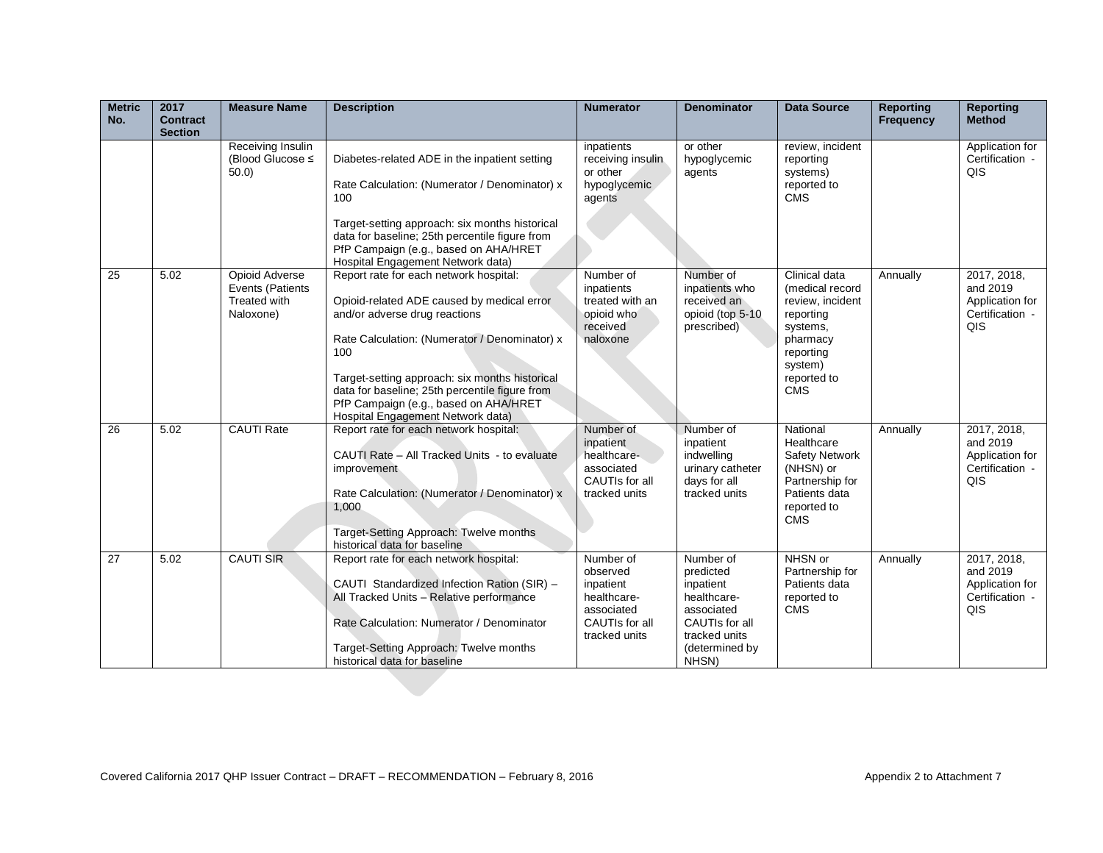| <b>Metric</b><br>No. | 2017<br><b>Contract</b><br><b>Section</b> | <b>Measure Name</b>                                             | <b>Description</b>                                                                                                                                                                                                                                                                                                                                              | <b>Numerator</b>                                                                                   | <b>Denominator</b>                                                                                                             | <b>Data Source</b>                                                                                                                             | <b>Reporting</b><br><b>Frequency</b> | <b>Reporting</b><br><b>Method</b>                                    |
|----------------------|-------------------------------------------|-----------------------------------------------------------------|-----------------------------------------------------------------------------------------------------------------------------------------------------------------------------------------------------------------------------------------------------------------------------------------------------------------------------------------------------------------|----------------------------------------------------------------------------------------------------|--------------------------------------------------------------------------------------------------------------------------------|------------------------------------------------------------------------------------------------------------------------------------------------|--------------------------------------|----------------------------------------------------------------------|
|                      |                                           | Receiving Insulin<br>(Blood Glucose ≤<br>$50.0$ )               | Diabetes-related ADE in the inpatient setting<br>Rate Calculation: (Numerator / Denominator) x<br>100<br>Target-setting approach: six months historical<br>data for baseline; 25th percentile figure from<br>PfP Campaign (e.g., based on AHA/HRET<br>Hospital Engagement Network data)                                                                         | inpatients<br>receiving insulin<br>or other<br>hypoglycemic<br>agents                              | or other<br>hypoglycemic<br>agents                                                                                             | review, incident<br>reporting<br>systems)<br>reported to<br><b>CMS</b>                                                                         |                                      | Application for<br>Certification -<br>QIS                            |
| 25                   | 5.02                                      | Opioid Adverse<br>Events (Patients<br>Treated with<br>Naloxone) | Report rate for each network hospital:<br>Opioid-related ADE caused by medical error<br>and/or adverse drug reactions<br>Rate Calculation: (Numerator / Denominator) x<br>100<br>Target-setting approach: six months historical<br>data for baseline; 25th percentile figure from<br>PfP Campaign (e.g., based on AHA/HRET<br>Hospital Engagement Network data) | Number of<br>inpatients<br>treated with an<br>opioid who<br>received<br>naloxone                   | Number of<br>inpatients who<br>received an<br>opioid (top 5-10<br>prescribed)                                                  | Clinical data<br>(medical record<br>review, incident<br>reporting<br>systems,<br>pharmacy<br>reporting<br>system)<br>reported to<br><b>CMS</b> | Annually                             | 2017, 2018,<br>and 2019<br>Application for<br>Certification -<br>QIS |
| 26                   | 5.02                                      | <b>CAUTI Rate</b>                                               | Report rate for each network hospital:<br>CAUTI Rate - All Tracked Units - to evaluate<br>improvement<br>Rate Calculation: (Numerator / Denominator) x<br>1,000<br>Target-Setting Approach: Twelve months<br>historical data for baseline                                                                                                                       | Number of<br>inpatient<br>healthcare-<br>associated<br>CAUTIs for all<br>tracked units             | Number of<br>inpatient<br>indwelling<br>urinary catheter<br>days for all<br>tracked units                                      | National<br>Healthcare<br>Safety Network<br>(NHSN) or<br>Partnership for<br>Patients data<br>reported to<br><b>CMS</b>                         | Annually                             | 2017, 2018,<br>and 2019<br>Application for<br>Certification -<br>QIS |
| 27                   | 5.02                                      | <b>CAUTI SIR</b>                                                | Report rate for each network hospital:<br>CAUTI Standardized Infection Ration (SIR) -<br>All Tracked Units - Relative performance<br>Rate Calculation: Numerator / Denominator<br>Target-Setting Approach: Twelve months<br>historical data for baseline                                                                                                        | Number of<br>observed<br>inpatient<br>healthcare-<br>associated<br>CAUTIs for all<br>tracked units | Number of<br>predicted<br>inpatient<br>healthcare-<br>associated<br>CAUTIs for all<br>tracked units<br>(determined by<br>NHSN) | NHSN or<br>Partnership for<br>Patients data<br>reported to<br><b>CMS</b>                                                                       | Annually                             | 2017, 2018,<br>and 2019<br>Application for<br>Certification -<br>QIS |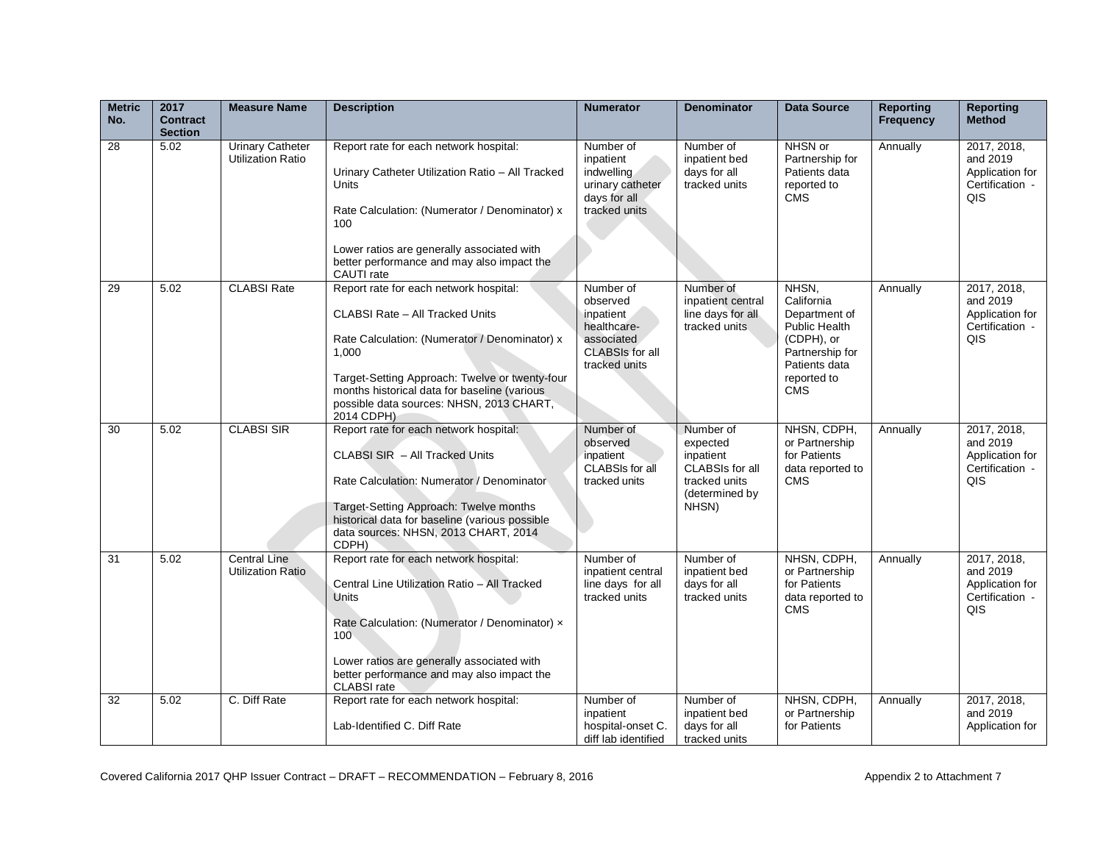| <b>Metric</b><br>No. | 2017<br><b>Contract</b><br><b>Section</b> | <b>Measure Name</b>                                 | <b>Description</b>                                                                                                                                                                                                                                                                                     | <b>Numerator</b>                                                                                           | <b>Denominator</b>                                                                                | <b>Data Source</b>                                                                                                                   | <b>Reporting</b><br>Frequency | <b>Reporting</b><br><b>Method</b>                                    |
|----------------------|-------------------------------------------|-----------------------------------------------------|--------------------------------------------------------------------------------------------------------------------------------------------------------------------------------------------------------------------------------------------------------------------------------------------------------|------------------------------------------------------------------------------------------------------------|---------------------------------------------------------------------------------------------------|--------------------------------------------------------------------------------------------------------------------------------------|-------------------------------|----------------------------------------------------------------------|
| 28                   | 5.02                                      | <b>Urinary Catheter</b><br><b>Utilization Ratio</b> | Report rate for each network hospital:<br>Urinary Catheter Utilization Ratio - All Tracked<br>Units<br>Rate Calculation: (Numerator / Denominator) x<br>100<br>Lower ratios are generally associated with<br>better performance and may also impact the<br>CAUTI rate                                  | Number of<br>inpatient<br>indwelling<br>urinary catheter<br>days for all<br>tracked units                  | Number of<br>inpatient bed<br>days for all<br>tracked units                                       | NHSN or<br>Partnership for<br>Patients data<br>reported to<br><b>CMS</b>                                                             | Annually                      | 2017, 2018,<br>and 2019<br>Application for<br>Certification -<br>QIS |
| 29                   | 5.02                                      | <b>CLABSI Rate</b>                                  | Report rate for each network hospital:<br><b>CLABSI Rate - All Tracked Units</b><br>Rate Calculation: (Numerator / Denominator) x<br>1.000<br>Target-Setting Approach: Twelve or twenty-four<br>months historical data for baseline (various<br>possible data sources: NHSN, 2013 CHART,<br>2014 CDPH) | Number of<br>observed<br>inpatient<br>healthcare-<br>associated<br><b>CLABSIs for all</b><br>tracked units | Number of<br>inpatient central<br>line days for all<br>tracked units                              | NHSN.<br>California<br>Department of<br>Public Health<br>(CDPH), or<br>Partnership for<br>Patients data<br>reported to<br><b>CMS</b> | Annually                      | 2017, 2018,<br>and 2019<br>Application for<br>Certification -<br>QIS |
| 30                   | 5.02                                      | <b>CLABSI SIR</b>                                   | Report rate for each network hospital:<br>CLABSI SIR - All Tracked Units<br>Rate Calculation: Numerator / Denominator<br>Target-Setting Approach: Twelve months<br>historical data for baseline (various possible<br>data sources: NHSN, 2013 CHART, 2014<br>CDPH)                                     | Number of<br>observed<br>inpatient<br>CLABSIs for all<br>tracked units                                     | Number of<br>expected<br>inpatient<br>CLABSIs for all<br>tracked units<br>(determined by<br>NHSN) | NHSN, CDPH,<br>or Partnership<br>for Patients<br>data reported to<br><b>CMS</b>                                                      | Annually                      | 2017, 2018,<br>and 2019<br>Application for<br>Certification -<br>QIS |
| 31                   | 5.02                                      | <b>Central Line</b><br><b>Utilization Ratio</b>     | Report rate for each network hospital:<br>Central Line Utilization Ratio - All Tracked<br><b>Units</b><br>Rate Calculation: (Numerator / Denominator) x<br>100<br>Lower ratios are generally associated with<br>better performance and may also impact the<br><b>CLABSI</b> rate                       | Number of<br>inpatient central<br>line days for all<br>tracked units                                       | Number of<br>inpatient bed<br>days for all<br>tracked units                                       | NHSN, CDPH,<br>or Partnership<br>for Patients<br>data reported to<br><b>CMS</b>                                                      | Annually                      | 2017, 2018,<br>and 2019<br>Application for<br>Certification -<br>QIS |
| 32                   | 5.02                                      | C. Diff Rate                                        | Report rate for each network hospital:<br>Lab-Identified C. Diff Rate                                                                                                                                                                                                                                  | Number of<br>inpatient<br>hospital-onset C.<br>diff lab identified                                         | Number of<br>inpatient bed<br>days for all<br>tracked units                                       | NHSN, CDPH,<br>or Partnership<br>for Patients                                                                                        | Annually                      | 2017, 2018,<br>and 2019<br>Application for                           |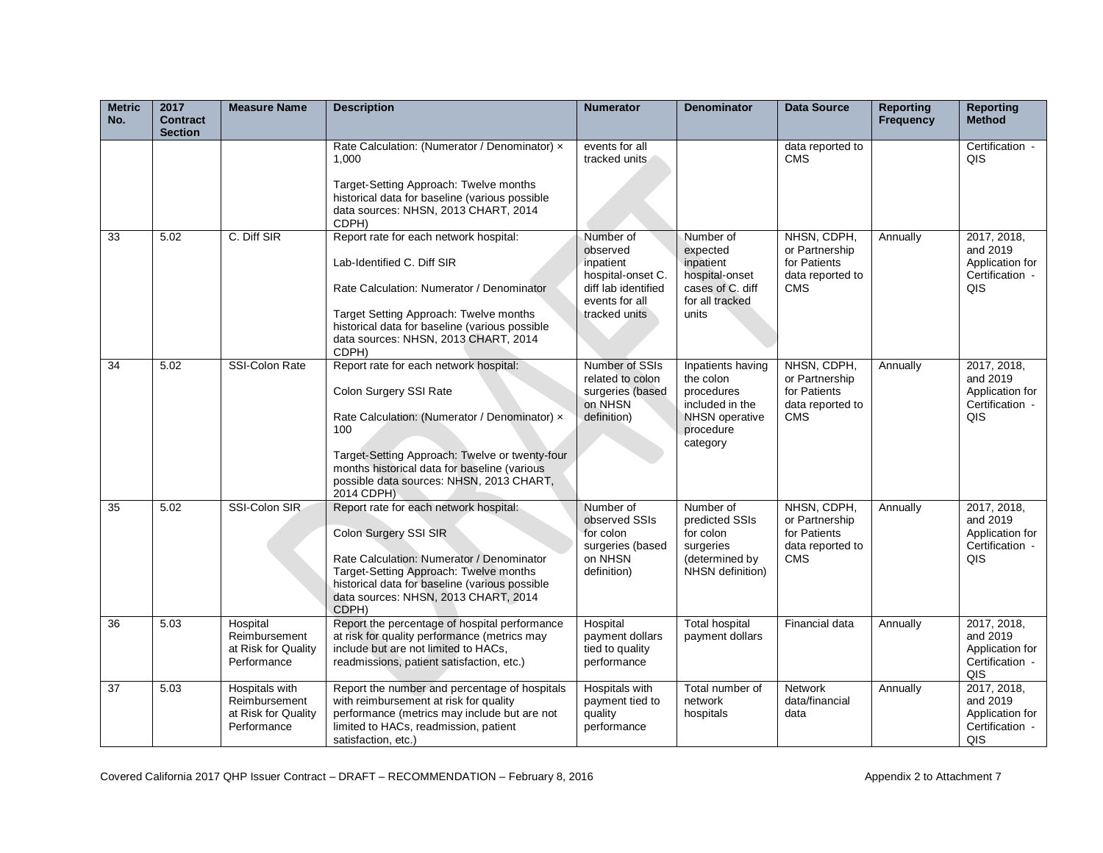| <b>Metric</b><br>No. | 2017<br><b>Contract</b><br><b>Section</b> | <b>Measure Name</b>                                                   | <b>Description</b>                                                                                                                                                                                                                                                                   | <b>Numerator</b>                                                                                                  | <b>Denominator</b>                                                                                                | <b>Data Source</b>                                                              | <b>Reporting</b><br><b>Frequency</b> | <b>Reporting</b><br><b>Method</b>                                                  |
|----------------------|-------------------------------------------|-----------------------------------------------------------------------|--------------------------------------------------------------------------------------------------------------------------------------------------------------------------------------------------------------------------------------------------------------------------------------|-------------------------------------------------------------------------------------------------------------------|-------------------------------------------------------------------------------------------------------------------|---------------------------------------------------------------------------------|--------------------------------------|------------------------------------------------------------------------------------|
|                      |                                           |                                                                       | Rate Calculation: (Numerator / Denominator) x<br>1.000<br>Target-Setting Approach: Twelve months<br>historical data for baseline (various possible<br>data sources: NHSN, 2013 CHART, 2014<br>CDPH)                                                                                  | events for all<br>tracked units                                                                                   |                                                                                                                   | data reported to<br><b>CMS</b>                                                  |                                      | Certification -<br>QIS                                                             |
| 33                   | 5.02                                      | C. Diff SIR                                                           | Report rate for each network hospital:<br>Lab-Identified C. Diff SIR<br>Rate Calculation: Numerator / Denominator<br>Target Setting Approach: Twelve months<br>historical data for baseline (various possible<br>data sources: NHSN, 2013 CHART, 2014<br>CDPH)                       | Number of<br>observed<br>inpatient<br>hospital-onset C.<br>diff lab identified<br>events for all<br>tracked units | Number of<br>expected<br>inpatient<br>hospital-onset<br>cases of C. diff<br>for all tracked<br>units              | NHSN, CDPH,<br>or Partnership<br>for Patients<br>data reported to<br><b>CMS</b> | Annually                             | 2017, 2018,<br>and 2019<br>Application for<br>Certification -<br>QIS               |
| 34                   | 5.02                                      | <b>SSI-Colon Rate</b>                                                 | Report rate for each network hospital:<br>Colon Surgery SSI Rate<br>Rate Calculation: (Numerator / Denominator) x<br>100<br>Target-Setting Approach: Twelve or twenty-four<br>months historical data for baseline (various<br>possible data sources: NHSN, 2013 CHART,<br>2014 CDPH) | Number of SSIs<br>related to colon<br>surgeries (based<br>on NHSN<br>definition)                                  | Inpatients having<br>the colon<br>procedures<br>included in the<br><b>NHSN</b> operative<br>procedure<br>category | NHSN, CDPH,<br>or Partnership<br>for Patients<br>data reported to<br><b>CMS</b> | Annually                             | 2017, 2018,<br>and 2019<br>Application for<br>Certification -<br>QIS               |
| 35                   | 5.02                                      | SSI-Colon SIR                                                         | Report rate for each network hospital:<br>Colon Surgery SSI SIR<br>Rate Calculation: Numerator / Denominator<br>Target-Setting Approach: Twelve months<br>historical data for baseline (various possible<br>data sources: NHSN, 2013 CHART, 2014<br>CDPH)                            | Number of<br>observed SSIs<br>for colon<br>surgeries (based<br>on NHSN<br>definition)                             | Number of<br>predicted SSIs<br>for colon<br>surgeries<br>(determined by<br>NHSN definition)                       | NHSN, CDPH,<br>or Partnership<br>for Patients<br>data reported to<br><b>CMS</b> | Annually                             | 2017, 2018,<br>and 2019<br>Application for<br>Certification -<br>QIS               |
| 36                   | 5.03                                      | Hospital<br>Reimbursement<br>at Risk for Quality<br>Performance       | Report the percentage of hospital performance<br>at risk for quality performance (metrics may<br>include but are not limited to HACs,<br>readmissions, patient satisfaction, etc.)                                                                                                   | Hospital<br>payment dollars<br>tied to quality<br>performance                                                     | <b>Total hospital</b><br>payment dollars                                                                          | Financial data                                                                  | Annually                             | $\overline{2017}$ , 2018,<br>and 2019<br>Application for<br>Certification -<br>QIS |
| 37                   | 5.03                                      | Hospitals with<br>Reimbursement<br>at Risk for Quality<br>Performance | Report the number and percentage of hospitals<br>with reimbursement at risk for quality<br>performance (metrics may include but are not<br>limited to HACs, readmission, patient<br>satisfaction, etc.)                                                                              | Hospitals with<br>payment tied to<br>quality<br>performance                                                       | Total number of<br>network<br>hospitals                                                                           | <b>Network</b><br>data/financial<br>data                                        | Annually                             | 2017, 2018,<br>and 2019<br>Application for<br>Certification -<br>QIS               |